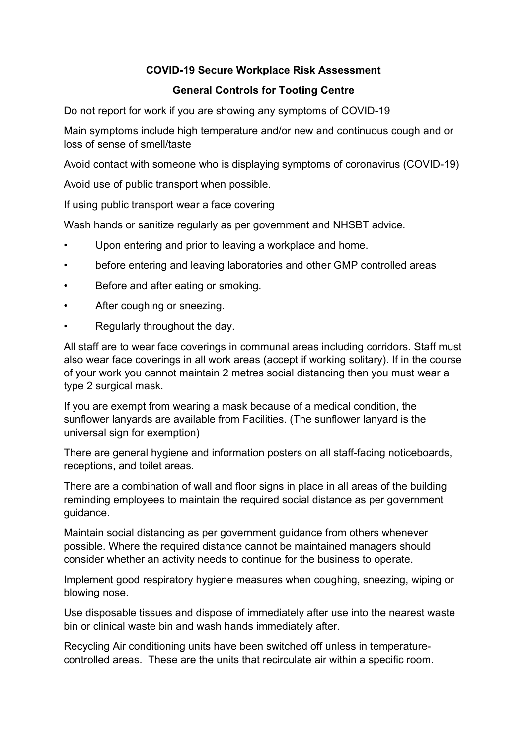## COVID-19 Secure Workplace Risk Assessment

## General Controls for Tooting Centre

Do not report for work if you are showing any symptoms of COVID-19

Main symptoms include high temperature and/or new and continuous cough and or loss of sense of smell/taste

Avoid contact with someone who is displaying symptoms of coronavirus (COVID-19)

Avoid use of public transport when possible.

If using public transport wear a face covering

Wash hands or sanitize regularly as per government and NHSBT advice.

- Upon entering and prior to leaving a workplace and home.
- before entering and leaving laboratories and other GMP controlled areas
- Before and after eating or smoking.
- After coughing or sneezing.
- Regularly throughout the day.

All staff are to wear face coverings in communal areas including corridors. Staff must also wear face coverings in all work areas (accept if working solitary). If in the course of your work you cannot maintain 2 metres social distancing then you must wear a type 2 surgical mask.

If you are exempt from wearing a mask because of a medical condition, the sunflower lanyards are available from Facilities. (The sunflower lanyard is the universal sign for exemption)

There are general hygiene and information posters on all staff-facing noticeboards, receptions, and toilet areas.

There are a combination of wall and floor signs in place in all areas of the building reminding employees to maintain the required social distance as per government guidance.

Maintain social distancing as per government guidance from others whenever possible. Where the required distance cannot be maintained managers should consider whether an activity needs to continue for the business to operate.

Implement good respiratory hygiene measures when coughing, sneezing, wiping or blowing nose.

Use disposable tissues and dispose of immediately after use into the nearest waste bin or clinical waste bin and wash hands immediately after.

Recycling Air conditioning units have been switched off unless in temperaturecontrolled areas. These are the units that recirculate air within a specific room.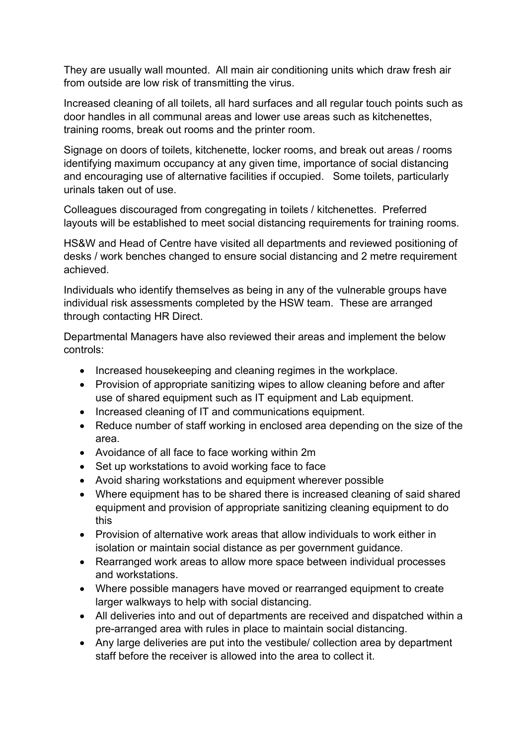They are usually wall mounted. All main air conditioning units which draw fresh air from outside are low risk of transmitting the virus.

Increased cleaning of all toilets, all hard surfaces and all regular touch points such as door handles in all communal areas and lower use areas such as kitchenettes, training rooms, break out rooms and the printer room.

Signage on doors of toilets, kitchenette, locker rooms, and break out areas / rooms identifying maximum occupancy at any given time, importance of social distancing and encouraging use of alternative facilities if occupied. Some toilets, particularly urinals taken out of use.

Colleagues discouraged from congregating in toilets / kitchenettes. Preferred layouts will be established to meet social distancing requirements for training rooms.

HS&W and Head of Centre have visited all departments and reviewed positioning of desks / work benches changed to ensure social distancing and 2 metre requirement achieved.

Individuals who identify themselves as being in any of the vulnerable groups have individual risk assessments completed by the HSW team. These are arranged through contacting HR Direct.

Departmental Managers have also reviewed their areas and implement the below controls:

- Increased housekeeping and cleaning regimes in the workplace.
- Provision of appropriate sanitizing wipes to allow cleaning before and after use of shared equipment such as IT equipment and Lab equipment.
- Increased cleaning of IT and communications equipment.
- Reduce number of staff working in enclosed area depending on the size of the area.
- Avoidance of all face to face working within 2m
- Set up workstations to avoid working face to face
- Avoid sharing workstations and equipment wherever possible
- Where equipment has to be shared there is increased cleaning of said shared equipment and provision of appropriate sanitizing cleaning equipment to do this
- Provision of alternative work areas that allow individuals to work either in isolation or maintain social distance as per government guidance.
- Rearranged work areas to allow more space between individual processes and workstations.
- Where possible managers have moved or rearranged equipment to create larger walkways to help with social distancing.
- All deliveries into and out of departments are received and dispatched within a pre-arranged area with rules in place to maintain social distancing.
- Any large deliveries are put into the vestibule/ collection area by department staff before the receiver is allowed into the area to collect it.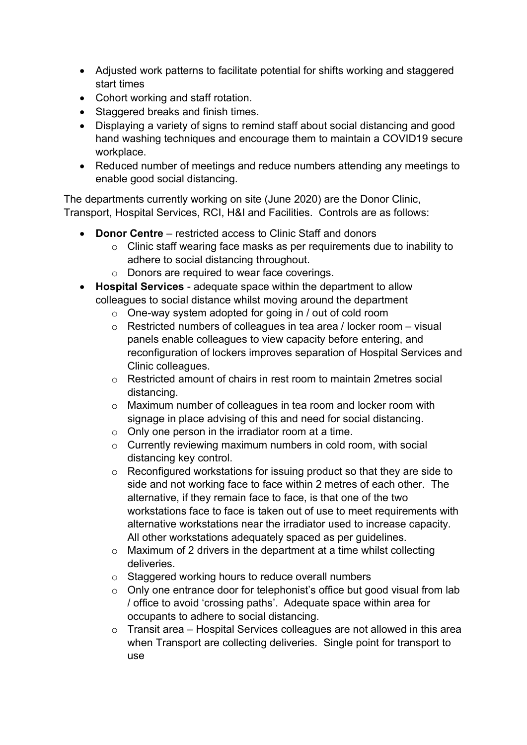- Adjusted work patterns to facilitate potential for shifts working and staggered start times
- Cohort working and staff rotation.
- Staggered breaks and finish times.
- Displaying a variety of signs to remind staff about social distancing and good hand washing techniques and encourage them to maintain a COVID19 secure workplace.
- Reduced number of meetings and reduce numbers attending any meetings to enable good social distancing.

The departments currently working on site (June 2020) are the Donor Clinic, Transport, Hospital Services, RCI, H&I and Facilities. Controls are as follows:

- Donor Centre restricted access to Clinic Staff and donors
	- o Clinic staff wearing face masks as per requirements due to inability to adhere to social distancing throughout.
	- o Donors are required to wear face coverings.
- Hospital Services adequate space within the department to allow colleagues to social distance whilst moving around the department
	- $\circ$  One-way system adopted for going in / out of cold room
	- o Restricted numbers of colleagues in tea area / locker room visual panels enable colleagues to view capacity before entering, and reconfiguration of lockers improves separation of Hospital Services and Clinic colleagues.
	- o Restricted amount of chairs in rest room to maintain 2metres social distancing.
	- o Maximum number of colleagues in tea room and locker room with signage in place advising of this and need for social distancing.
	- $\circ$  Only one person in the irradiator room at a time.
	- o Currently reviewing maximum numbers in cold room, with social distancing key control.
	- o Reconfigured workstations for issuing product so that they are side to side and not working face to face within 2 metres of each other. The alternative, if they remain face to face, is that one of the two workstations face to face is taken out of use to meet requirements with alternative workstations near the irradiator used to increase capacity. All other workstations adequately spaced as per guidelines.
	- $\circ$  Maximum of 2 drivers in the department at a time whilst collecting deliveries.
	- o Staggered working hours to reduce overall numbers
	- o Only one entrance door for telephonist's office but good visual from lab / office to avoid 'crossing paths'. Adequate space within area for occupants to adhere to social distancing.
	- o Transit area Hospital Services colleagues are not allowed in this area when Transport are collecting deliveries. Single point for transport to use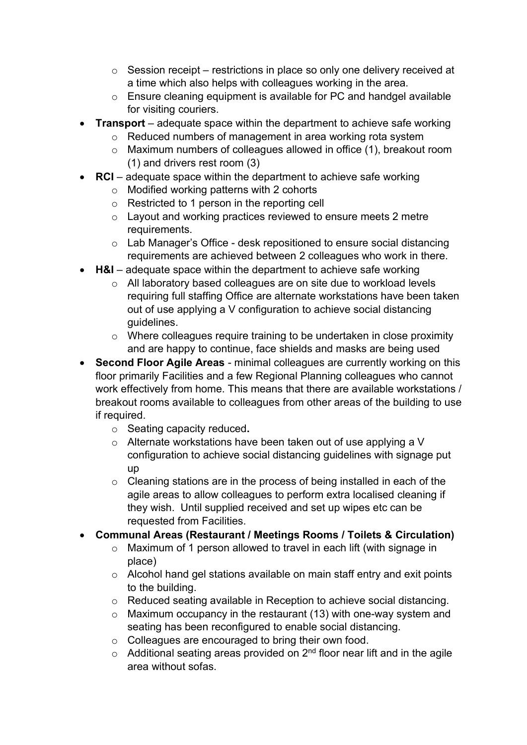- o Session receipt restrictions in place so only one delivery received at a time which also helps with colleagues working in the area.
- o Ensure cleaning equipment is available for PC and handgel available for visiting couriers.
- **Transport** adequate space within the department to achieve safe working
	- o Reduced numbers of management in area working rota system
	- o Maximum numbers of colleagues allowed in office (1), breakout room (1) and drivers rest room (3)
- $\bullet$  RCI adequate space within the department to achieve safe working
	- o Modified working patterns with 2 cohorts
	- o Restricted to 1 person in the reporting cell
	- o Layout and working practices reviewed to ensure meets 2 metre requirements.
	- $\circ$  Lab Manager's Office desk repositioned to ensure social distancing requirements are achieved between 2 colleagues who work in there.
- $\bullet$  H&I adequate space within the department to achieve safe working
	- o All laboratory based colleagues are on site due to workload levels requiring full staffing Office are alternate workstations have been taken out of use applying a V configuration to achieve social distancing guidelines.
	- o Where colleagues require training to be undertaken in close proximity and are happy to continue, face shields and masks are being used
- Second Floor Agile Areas minimal colleagues are currently working on this floor primarily Facilities and a few Regional Planning colleagues who cannot work effectively from home. This means that there are available workstations / breakout rooms available to colleagues from other areas of the building to use if required.
	- o Seating capacity reduced.
	- o Alternate workstations have been taken out of use applying a V configuration to achieve social distancing guidelines with signage put up
	- $\circ$  Cleaning stations are in the process of being installed in each of the agile areas to allow colleagues to perform extra localised cleaning if they wish. Until supplied received and set up wipes etc can be requested from Facilities.
- Communal Areas (Restaurant / Meetings Rooms / Toilets & Circulation)
	- o Maximum of 1 person allowed to travel in each lift (with signage in place)
	- o Alcohol hand gel stations available on main staff entry and exit points to the building.
	- o Reduced seating available in Reception to achieve social distancing.
	- $\circ$  Maximum occupancy in the restaurant (13) with one-way system and seating has been reconfigured to enable social distancing.
	- o Colleagues are encouraged to bring their own food.
	- $\circ$  Additional seating areas provided on 2<sup>nd</sup> floor near lift and in the agile area without sofas.